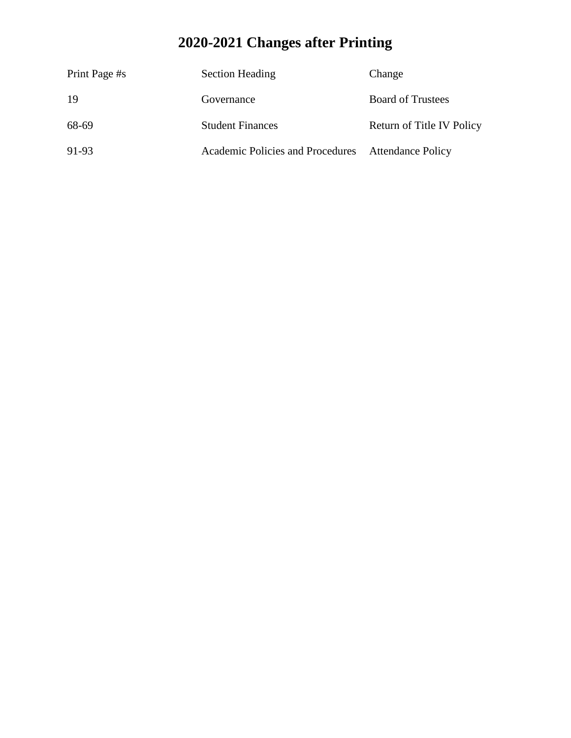# **2020-2021 Changes after Printing**

| Print Page #s | <b>Section Heading</b>                             | Change                    |
|---------------|----------------------------------------------------|---------------------------|
| 19            | Governance                                         | <b>Board of Trustees</b>  |
| 68-69         | <b>Student Finances</b>                            | Return of Title IV Policy |
| 91-93         | Academic Policies and Procedures Attendance Policy |                           |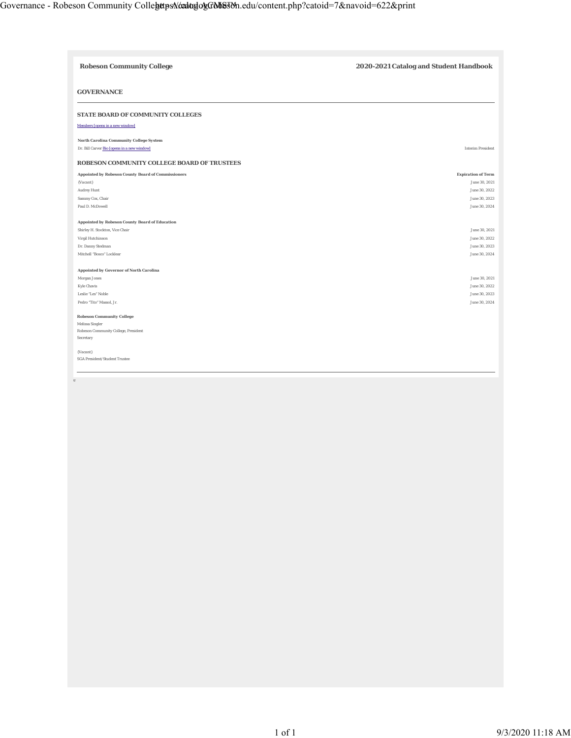| <b>Robeson Community College</b>                        | 2020-2021 Catalog and Student Handbook |
|---------------------------------------------------------|----------------------------------------|
| <b>GOVERNANCE</b>                                       |                                        |
| STATE BOARD OF COMMUNITY COLLEGES                       |                                        |
| Members [opens in a new window]                         |                                        |
| North Carolina Community College System                 |                                        |
| Dr. Bill Carver Bio Jopens in a new window]             | <b>Interim President</b>               |
| ROBESON COMMUNITY COLLEGE BOARD OF TRUSTEES             |                                        |
| Appointed by Robeson County Board of Commissioners      | <b>Expiration of Term</b>              |
| (Vacant)                                                | June 30, 2021                          |
| Audrey Hunt                                             | June 30, 2022                          |
| Sammy Cox, Chair                                        | June 30, 2023                          |
| Paul D. McDowell                                        | June 30, 2024                          |
|                                                         |                                        |
| Appointed by Robeson County Board of Education          | June 30, 2021                          |
| Shirley H. Stockton, Vice Chair                         | June 30, 2022                          |
| Virgil Hutchinson<br>Dr. Danny Stedman                  | June 30, 2023                          |
| Mitchell "Bosco" Locklear                               | June 30, 2024                          |
|                                                         |                                        |
| Appointed by Governor of North Carolina                 |                                        |
| Morgan Jones                                            | June 30, 2021                          |
| <b>Kyle Chavis</b>                                      | June 30, 2022                          |
| Leslie "Les" Noble                                      | June 30, 2023                          |
| Pedro "Tito" Massol, Jr.                                | June 30, 2024                          |
|                                                         |                                        |
| <b>Robeson Community College</b>                        |                                        |
| Melissa Singler<br>Robeson Community College, President |                                        |
| Secretary                                               |                                        |
|                                                         |                                        |
| (Vacant)                                                |                                        |
| SGA President/Student Trustee                           |                                        |
|                                                         |                                        |
| Ш                                                       |                                        |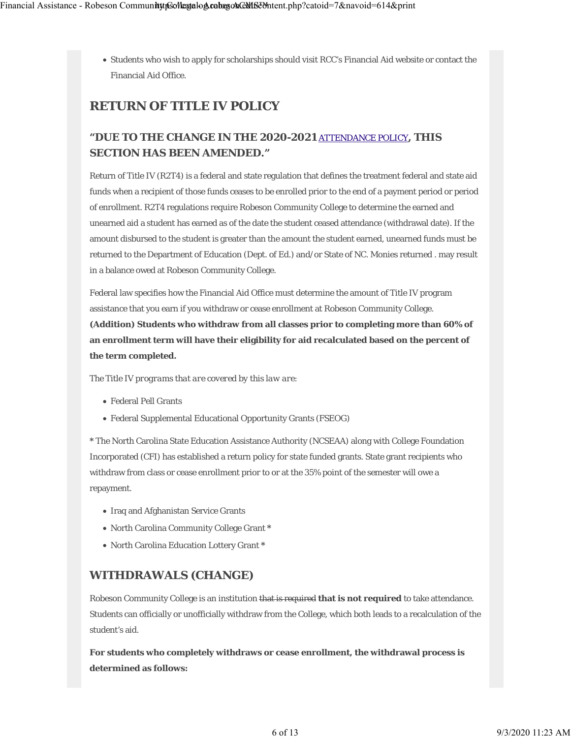Students who wish to apply for scholarships should visit RCC's Financial Aid website or contact the Financial Aid Office.

# **RETURN OF TITLE IV POLICY**

# **"DUE TO THE CHANGE IN THE 2020-2021** ATTENDANCE POLICY**, THIS SECTION HAS BEEN AMENDED."**

Return of Title IV (R2T4) is a federal and state regulation that defines the treatment federal and state aid funds when a recipient of those funds ceases to be enrolled prior to the end of a payment period or period of enrollment. R2T4 regulations require Robeson Community College to determine the earned and unearned aid a student has earned as of the date the student ceased attendance (withdrawal date). If the amount disbursed to the student is greater than the amount the student earned, unearned funds must be returned to the Department of Education (Dept. of Ed.) and/or State of NC. Monies returned . may result in a balance owed at Robeson Community College.

Federal law specifies how the Financial Aid Office must determine the amount of Title IV program assistance that you earn if you withdraw or cease enrollment at Robeson Community College. **(Addition) Students who withdraw from all classes prior to completing more than 60% of an enrollment term will have their eligibility for aid recalculated based on the percent of the term completed.**

*The Title IV programs that are covered by this law are:*

- Federal Pell Grants
- Federal Supplemental Educational Opportunity Grants (FSEOG)

**\*** The North Carolina State Education Assistance Authority (NCSEAA) along with College Foundation Incorporated (CFI) has established a return policy for state funded grants. State grant recipients who withdraw from class or cease enrollment prior to or at the 35% point of the semester will owe a repayment.

- Iraq and Afghanistan Service Grants
- North Carolina Community College Grant **\***
- North Carolina Education Lottery Grant **\***

# **WITHDRAWALS (CHANGE)**

Robeson Community College is an institution that is required **that is not required** to take attendance. Students can officially or unofficially withdraw from the College, which both leads to a recalculation of the student's aid.

**For students who completely withdraws or cease enrollment, the withdrawal process is determined as follows:**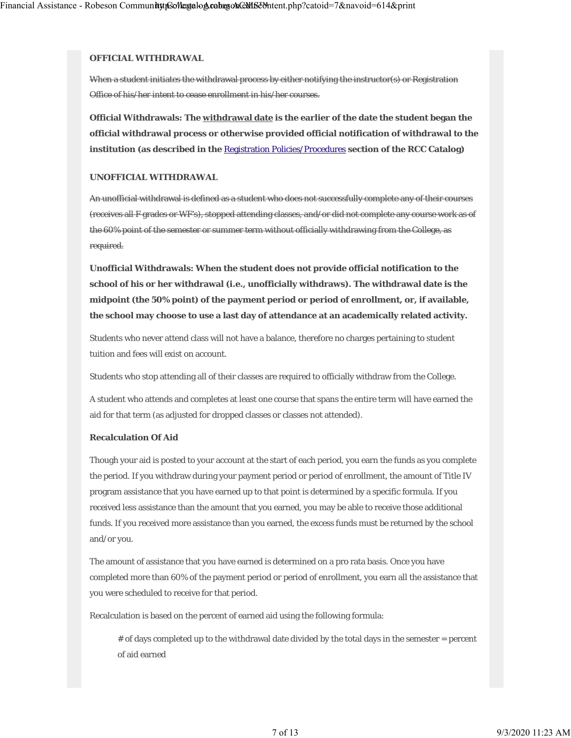#### **OFFICIAL WITHDRAWAL**

When a student initiates the withdrawal process by either notifying the instructor(s) or Registration Office of his/her intent to cease enrollment in his/her courses.

**Official Withdrawals: The withdrawal date is the earlier of the date the student began the official withdrawal process or otherwise provided official notification of withdrawal to the institution (as described in the** Registration Policies/Procedures **section of the RCC Catalog)**

#### **UNOFFICIAL WITHDRAWAL**

An unofficial withdrawal is defined as a student who does not successfully complete any of their courses (receives all F grades or WF's), stopped attending classes, and/or did not complete any course work as of the 60% point of the semester or summer term without officially withdrawing from the College, as required.

**Unofficial Withdrawals: When the student does not provide official notification to the school of his or her withdrawal (i.e., unofficially withdraws). The withdrawal date is the midpoint (the 50% point) of the payment period or period of enrollment, or, if available, the school may choose to use a last day of attendance at an academically related activity.**

Students who never attend class will not have a balance, therefore no charges pertaining to student tuition and fees will exist on account.

Students who stop attending all of their classes are required to officially withdraw from the College.

A student who attends and completes at least one course that spans the entire term will have earned the aid for that term (as adjusted for dropped classes or classes not attended).

#### **Recalculation Of Aid**

Though your aid is posted to your account at the start of each period, you earn the funds as you complete the period. If you withdraw during your payment period or period of enrollment, the amount of Title IV program assistance that you have earned up to that point is determined by a specific formula. If you received less assistance than the amount that you earned, you may be able to receive those additional funds. If you received more assistance than you earned, the excess funds must be returned by the school and/or you.

The amount of assistance that you have earned is determined on a pro rata basis. Once you have completed more than 60% of the payment period or period of enrollment, you earn all the assistance that you were scheduled to receive for that period.

Recalculation is based on the percent of earned aid using the following formula:

# of days completed up to the withdrawal date divided by the total days in the semester = percent of aid earned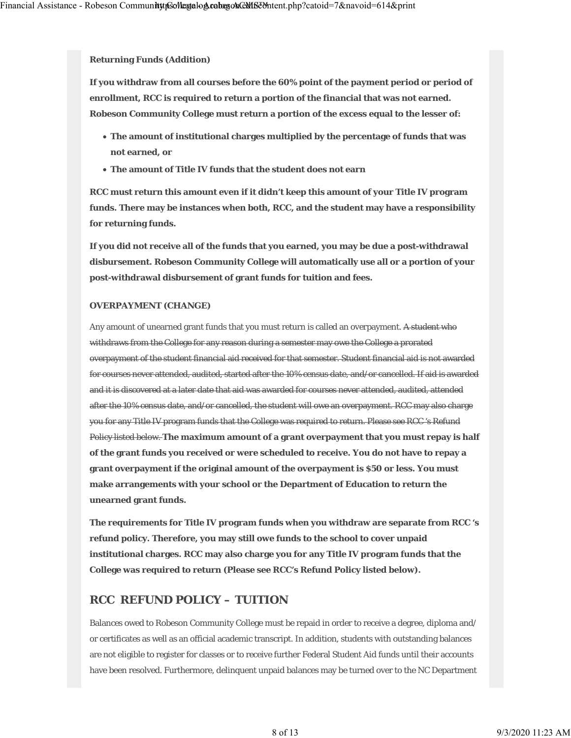**Returning Funds (Addition)**

**If you withdraw from all courses before the 60% point of the payment period or period of enrollment, RCC is required to return a portion of the financial that was not earned. Robeson Community College must return a portion of the excess equal to the lesser of:**

- **The amount of institutional charges multiplied by the percentage of funds that was not earned, or**
- **The amount of Title IV funds that the student does not earn**

**RCC must return this amount even if it didn't keep this amount of your Title IV program funds. There may be instances when both, RCC, and the student may have a responsibility for returning funds.**

**If you did not receive all of the funds that you earned, you may be due a post-withdrawal disbursement. Robeson Community College will automatically use all or a portion of your post-withdrawal disbursement of grant funds for tuition and fees.**

#### **OVERPAYMENT (CHANGE)**

Any amount of unearned grant funds that you must return is called an overpayment. A student who withdraws from the College for any reason during a semester may owe the College a prorated overpayment of the student financial aid received for that semester. Student financial aid is not awarded for courses never attended, audited, started after the 10% census date, and/or cancelled. If aid is awarded and it is discovered at a later date that aid was awarded for courses never attended, audited, attended after the 10% census date, and/or cancelled, the student will owe an overpayment. RCC may also charge you for any Title IV program funds that the College was required to return. Please see RCC 's Refund Policy listed below. **The maximum amount of a grant overpayment that you must repay is half of the grant funds you received or were scheduled to receive. You do not have to repay a grant overpayment if the original amount of the overpayment is \$50 or less. You must make arrangements with your school or the Department of Education to return the unearned grant funds.**

**The requirements for Title IV program funds when you withdraw are separate from RCC 's refund policy. Therefore, you may still owe funds to the school to cover unpaid institutional charges. RCC may also charge you for any Title IV program funds that the College was required to return (Please see RCC's Refund Policy listed below).**

### **RCC REFUND POLICY – TUITION**

Balances owed to Robeson Community College must be repaid in order to receive a degree, diploma and/ or certificates as well as an official academic transcript. In addition, students with outstanding balances are not eligible to register for classes or to receive further Federal Student Aid funds until their accounts have been resolved. Furthermore, delinquent unpaid balances may be turned over to the NC Department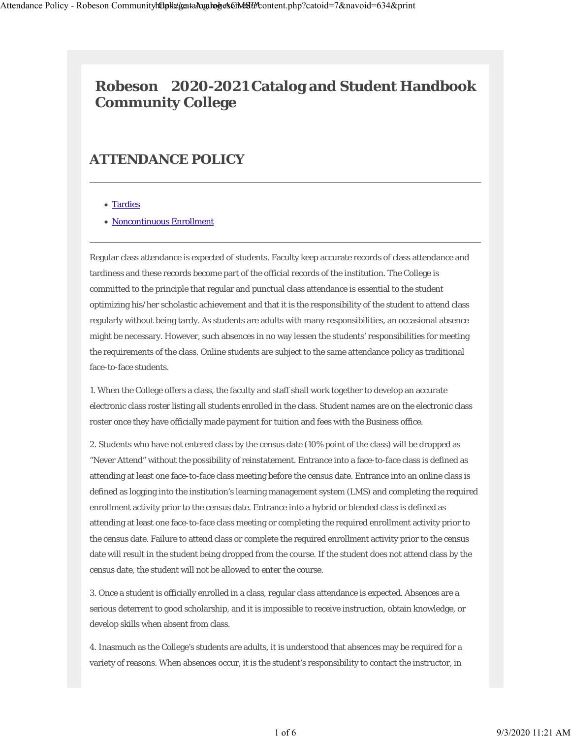# **Robeson 2020-2021 Catalog and Student Handbook Community College**

# **ATTENDANCE POLICY**

### • Tardies

#### Noncontinuous Enrollment

Regular class attendance is expected of students. Faculty keep accurate records of class attendance and tardiness and these records become part of the official records of the institution. The College is committed to the principle that regular and punctual class attendance is essential to the student optimizing his/her scholastic achievement and that it is the responsibility of the student to attend class regularly without being tardy. As students are adults with many responsibilities, an occasional absence might be necessary. However, such absences in no way lessen the students' responsibilities for meeting the requirements of the class. Online students are subject to the same attendance policy as traditional face-to-face students.

1. When the College offers a class, the faculty and staff shall work together to develop an accurate electronic class roster listing all students enrolled in the class. Student names are on the electronic class roster once they have officially made payment for tuition and fees with the Business office.

2. Students who have not entered class by the census date (10% point of the class) will be dropped as "Never Attend" without the possibility of reinstatement. Entrance into a face-to-face class is defined as attending at least one face-to-face class meeting before the census date. Entrance into an online class is defined as logging into the institution's learning management system (LMS) and completing the required enrollment activity prior to the census date. Entrance into a hybrid or blended class is defined as attending at least one face-to-face class meeting or completing the required enrollment activity prior to the census date. Failure to attend class or complete the required enrollment activity prior to the census date will result in the student being dropped from the course. If the student does not attend class by the census date, the student will not be allowed to enter the course.

3. Once a student is officially enrolled in a class, regular class attendance is expected. Absences are a serious deterrent to good scholarship, and it is impossible to receive instruction, obtain knowledge, or develop skills when absent from class.

4. Inasmuch as the College's students are adults, it is understood that absences may be required for a variety of reasons. When absences occur, it is the student's responsibility to contact the instructor, in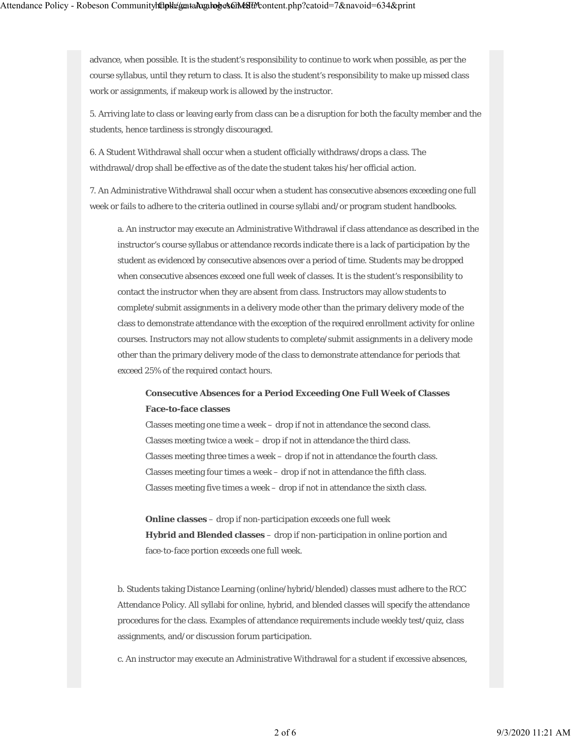advance, when possible. It is the student's responsibility to continue to work when possible, as per the course syllabus, until they return to class. It is also the student's responsibility to make up missed class work or assignments, if makeup work is allowed by the instructor.

5. Arriving late to class or leaving early from class can be a disruption for both the faculty member and the students, hence tardiness is strongly discouraged.

6. A Student Withdrawal shall occur when a student officially withdraws/drops a class. The withdrawal/drop shall be effective as of the date the student takes his/her official action.

7. An Administrative Withdrawal shall occur when a student has consecutive absences exceeding one full week or fails to adhere to the criteria outlined in course syllabi and/or program student handbooks.

a. An instructor may execute an Administrative Withdrawal if class attendance as described in the instructor's course syllabus or attendance records indicate there is a lack of participation by the student as evidenced by consecutive absences over a period of time. Students may be dropped when consecutive absences exceed one full week of classes. It is the student's responsibility to contact the instructor when they are absent from class. Instructors may allow students to complete/submit assignments in a delivery mode other than the primary delivery mode of the class to demonstrate attendance with the exception of the required enrollment activity for online courses. Instructors may not allow students to complete/submit assignments in a delivery mode other than the primary delivery mode of the class to demonstrate attendance for periods that exceed 25% of the required contact hours.

# **Consecutive Absences for a Period Exceeding One Full Week of Classes Face-to-face classes**

Classes meeting one time a week – drop if not in attendance the second class. Classes meeting twice a week – drop if not in attendance the third class. Classes meeting three times a week – drop if not in attendance the fourth class. Classes meeting four times a week – drop if not in attendance the fifth class. Classes meeting five times a week – drop if not in attendance the sixth class.

**Online classes** – drop if non-participation exceeds one full week **Hybrid and Blended classes** – drop if non-participation in online portion and face-to-face portion exceeds one full week.

b. Students taking Distance Learning (online/hybrid/blended) classes must adhere to the RCC Attendance Policy. All syllabi for online, hybrid, and blended classes will specify the attendance procedures for the class. Examples of attendance requirements include weekly test/quiz, class assignments, and/or discussion forum participation.

c. An instructor may execute an Administrative Withdrawal for a student if excessive absences,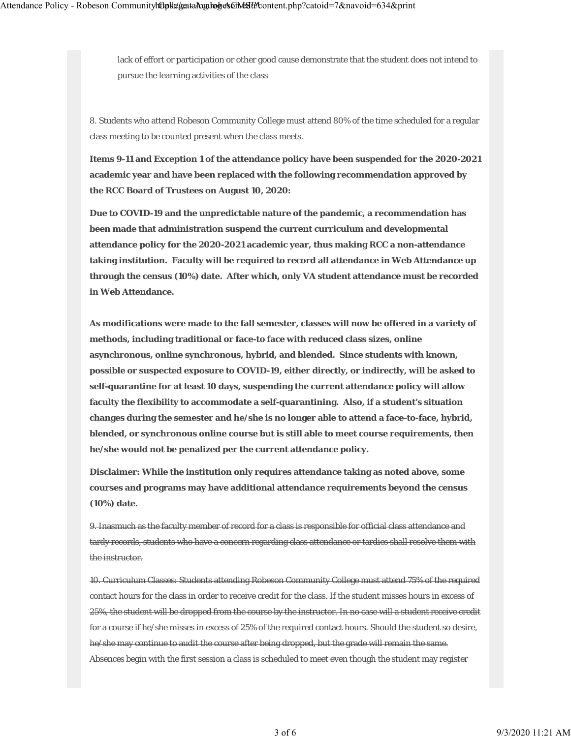lack of effort or participation or other good cause demonstrate that the student does not intend to pursue the learning activities of the class

8. Students who attend Robeson Community College must attend 80% of the time scheduled for a regular class meeting to be counted present when the class meets.

**Items 9-11 and Exception 1 of the attendance policy have been suspended for the 2020-2021 academic year and have been replaced with the following recommendation approved by the RCC Board of Trustees on August 10, 2020:**

**Due to COVID-19 and the unpredictable nature of the pandemic, a recommendation has been made that administration suspend the current curriculum and developmental attendance policy for the 2020-2021 academic year, thus making RCC a non-attendance taking institution. Faculty will be required to record all attendance in Web Attendance up through the census (10%) date. After which, only VA student attendance must be recorded in Web Attendance.**

**As modifications were made to the fall semester, classes will now be offered in a variety of methods, including traditional or face-to face with reduced class sizes, online asynchronous, online synchronous, hybrid, and blended. Since students with known, possible or suspected exposure to COVID-19, either directly, or indirectly, will be asked to self-quarantine for at least 10 days, suspending the current attendance policy will allow faculty the flexibility to accommodate a self-quarantining. Also, if a student's situation changes during the semester and he/she is no longer able to attend a face-to-face, hybrid, blended, or synchronous online course but is still able to meet course requirements, then he/she would not be penalized per the current attendance policy.** 

**Disclaimer: While the institution only requires attendance taking as noted above, some courses and programs may have additional attendance requirements beyond the census (10%) date.**

9. Inasmuch as the faculty member of record for a class is responsible for official class attendance and tardy records, students who have a concern regarding class attendance or tardies shall resolve them with the instructor.

10. Curriculum Classes: Students attending Robeson Community College must attend 75% of the required contact hours for the class in order to receive credit for the class. If the student misses hours in excess of 25%, the student will be dropped from the course by the instructor. In no case will a student receive credit for a course if he/she misses in excess of 25% of the required contact hours. Should the student so desire, he/she may continue to audit the course after being dropped, but the grade will remain the same. Absences begin with the first session a class is scheduled to meet even though the student may register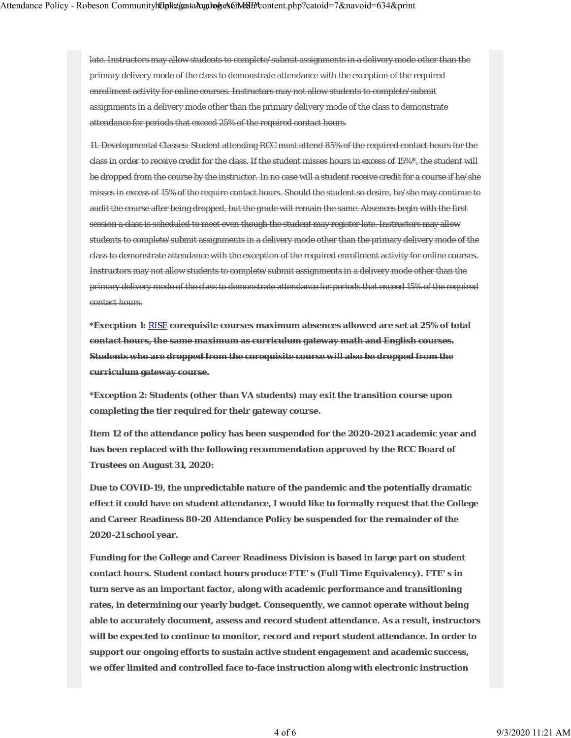late. Instructors may allow students to complete/submit assignments in a delivery mode other than the primary delivery mode of the class to demonstrate attendance with the exception of the required enrollment activity for online courses. Instructors may not allow students to complete/submit assignments in a delivery mode other than the primary delivery mode of the class to demonstrate attendance for periods that exceed 25% of the required contact hours.

11. Developmental Classes: Student attending RCC must attend 85% of the required contact hours for the class in order to receive credit for the class. If the student misses hours in excess of 15%**\***, the student will be dropped from the course by the instructor. In no case will a student receive credit for a course if he/she misses in excess of 15% of the require contact hours. Should the student so desire, he/she may continue to audit the course after being dropped, but the grade will remain the same. Absences begin with the first session a class is scheduled to meet even though the student may register late. Instructors may allow students to complete/submit assignments in a delivery mode other than the primary delivery mode of the class to demonstrate attendance with the exception of the required enrollment activity for online courses. Instructors may not allow students to complete/submit assignments in a delivery mode other than the primary delivery mode of the class to demonstrate attendance for periods that exceed 15% of the required contact hours.

**\*Execption 1:** RISE **corequisite courses maximum absences allowed are set at 25% of total contact hours, the same maximum as curriculum gateway math and English courses. Students who are dropped from the corequisite course will also be dropped from the curriculum gateway course.**

**\*Exception 2: Students (other than VA students) may exit the transition course upon completing the tier required for their gateway course.**

**Item 12 of the attendance policy has been suspended for the 2020-2021 academic year and has been replaced with the following recommendation approved by the RCC Board of Trustees on August 31, 2020:**

**Due to COVID-19, the unpredictable nature of the pandemic and the potentially dramatic effect it could have on student attendance, I would like to formally request that the College and Career Readiness 80-20 Attendance Policy be suspended for the remainder of the 2020-21 school year.**

**Funding for the College and Career Readiness Division is based in large part on student contact hours. Student contact hours produce FTE' s (Full Time Equivalency). FTE' s in turn serve as an important factor, along with academic performance and transitioning rates, in determining our yearly budget. Consequently, we cannot operate without being able to accurately document, assess and record student attendance. As a result, instructors will be expected to continue to monitor, record and report student attendance. In order to support our ongoing efforts to sustain active student engagement and academic success, we offer limited and controlled face to-face instruction along with electronic instruction**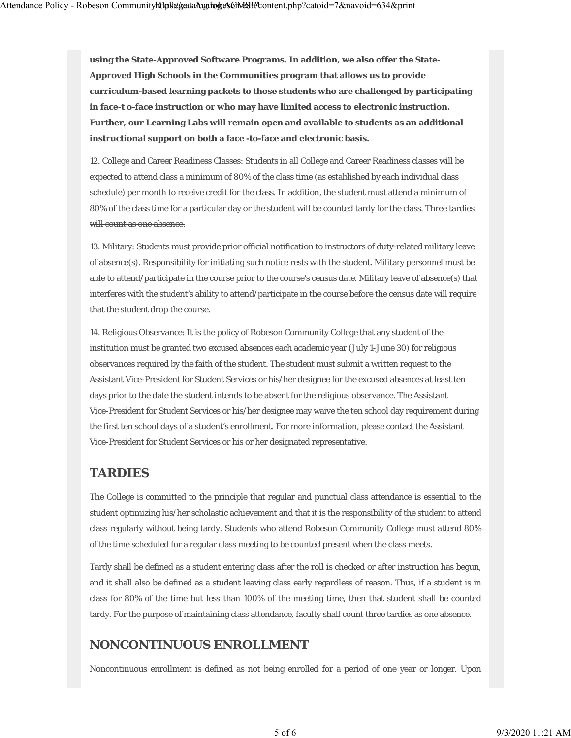**using the State-Approved Software Programs. In addition, we also offer the State-Approved High Schools in the Communities program that allows us to provide curriculum-based learning packets to those students who are challenged by participating in face-t o-face instruction or who may have limited access to electronic instruction. Further, our Learning Labs will remain open and available to students as an additional instructional support on both a face -to-face and electronic basis.**

12. College and Career Readiness Classes: Students in all College and Career Readiness classes will be expected to attend class a minimum of 80% of the class time (as established by each individual class schedule) per month to receive credit for the class. In addition, the student must attend a minimum of 80% of the class time for a particular day or the student will be counted tardy for the class. Three tardies will count as one absence.

13. Military: Students must provide prior official notification to instructors of duty-related military leave of absence(s). Responsibility for initiating such notice rests with the student. Military personnel must be able to attend/participate in the course prior to the course's census date. Military leave of absence(s) that interferes with the student's ability to attend/participate in the course before the census date will require that the student drop the course.

14. Religious Observance: It is the policy of Robeson Community College that any student of the institution must be granted two excused absences each academic year (July 1-June 30) for religious observances required by the faith of the student. The student must submit a written request to the Assistant Vice-President for Student Services or his/her designee for the excused absences at least ten days prior to the date the student intends to be absent for the religious observance. The Assistant Vice-President for Student Services or his/her designee may waive the ten school day requirement during the first ten school days of a student's enrollment. For more information, please contact the Assistant Vice-President for Student Services or his or her designated representative.

### **TARDIES**

The College is committed to the principle that regular and punctual class attendance is essential to the student optimizing his/her scholastic achievement and that it is the responsibility of the student to attend class regularly without being tardy. Students who attend Robeson Community College must attend 80% of the time scheduled for a regular class meeting to be counted present when the class meets.

Tardy shall be defined as a student entering class after the roll is checked or after instruction has begun, and it shall also be defined as a student leaving class early regardless of reason. Thus, if a student is in class for 80% of the time but less than 100% of the meeting time, then that student shall be counted tardy. For the purpose of maintaining class attendance, faculty shall count three tardies as one absence.

# **NONCONTINUOUS ENROLLMENT**

Noncontinuous enrollment is defined as not being enrolled for a period of one year or longer. Upon